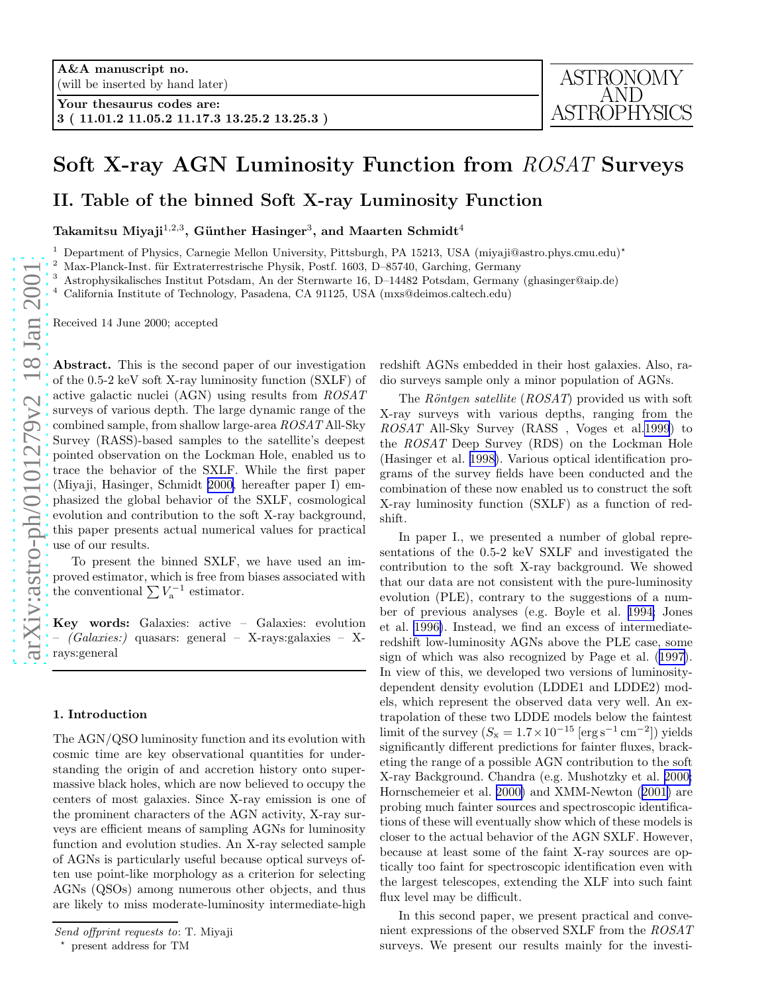# Soft X-ray AGN Luminosity Function from ROSAT Surveys

II. Table of the binned Soft X-ray Luminosity Function

Takamitsu Miyaji $^{1,2,3},$  Günther Hasinger $^3,$  and Maarten Schmidt $^4$ 

<sup>1</sup> Department of Physics, Carnegie Mellon University, Pittsburgh, PA 15213, USA (miyaji@astro.phys.cmu.edu)\*

Max-Planck-Inst. für Extraterrestrische Physik, Postf. 1603, D–85740, Garching, Germany

<sup>3</sup> Astrophysikalisches Institut Potsdam, An der Sternwarte 16, D–14482 Potsdam, Germany (ghasinger@aip.de)

<sup>4</sup> California Institute of Technology, Pasadena, CA 91125, USA (mxs@deimos.caltech.edu)

Received 14 June 2000; accepted

Abstract. This is the second paper of our investigation of the 0.5-2 keV soft X-ray luminosity function (SXLF) of active galactic nuclei (AGN) using results from *ROSAT* surveys of various depth. The large dynamic range of the combined sample, from shallow large-area *ROSAT* All-Sky Survey (RASS)-based samples to the satellite's deepest pointed observation on the Lockman Hole, enabled us to trace the behavior of the SXLF. While the first paper (Miyaji, Hasinger, Schmidt [2000,](#page-6-0) hereafter paper I) emphasized the global behavior of the SXLF, cosmological evolution and contribution to the soft X-ray background, this paper presents actual numerical values for practical use of our results.

To present the binned SXLF, we have used an improved estimator, which is free from biases associated with the conventional  $\sum V_{\rm a}^{-1}$  estimator.

Key words: Galaxies: active – Galaxies: evolution – *(Galaxies:)* quasars: general – X-rays:galaxies – Xrays:general

### 1. Introduction

The AGN/QSO luminosity function and its evolution with cosmic time are key observational quantities for understanding the origin of and accretion history onto supermassive black holes, which are now believed to occupy the centers of most galaxies. Since X-ray emission is one of the prominent characters of the AGN activity, X-ray surveys are efficient means of sampling AGNs for luminosity function and evolution studies. An X-ray selected sample of AGNs is particularly useful because optical surveys often use point-like morphology as a criterion for selecting AGNs (QSOs) among numerous other objects, and thus are likely to miss moderate-luminosity intermediate-high redshift AGNs embedded in their host galaxies. Also, radio surveys sample only a minor population of AGNs.

The *Röntgen satellite* (*ROSAT*) provided us with soft X-ray surveys with various depths, ranging from the *ROSAT* All-Sky Survey (RASS , Voges et al[.1999](#page-6-0)) to the *ROSAT* Deep Survey (RDS) on the Lockman Hole (Hasinger et al. [1998\)](#page-5-0). Various optical identification programs of the survey fields have been conducted and the combination of these now enabled us to construct the soft X-ray luminosity function (SXLF) as a function of redshift.

In paper I., we presented a number of global representations of the 0.5-2 keV SXLF and investigated the contribution to the soft X-ray background. We showed that our data are not consistent with the pure-luminosity evolution (PLE), contrary to the suggestions of a number of previous analyses (e.g. Boyle et al. [1994;](#page-5-0) Jones et al. [1996\)](#page-5-0). Instead, we find an excess of intermediateredshift low-luminosity AGNs above the PLE case, some sign of which was also recognized by Page et al.([1997\)](#page-6-0). In view of this, we developed two versions of luminositydependent density evolution (LDDE1 and LDDE2) models, which represent the observed data very well. An extrapolation of these two LDDE models below the faintest limit of the survey  $(S_x = 1.7 \times 10^{-15} \,[\text{erg}\,\text{s}^{-1}\,\text{cm}^{-2}])$  yields significantly different predictions for fainter fluxes, bracketing the range of a possible AGN contribution to the soft X-ray Background. Chandra (e.g. Mushotzky et al. [2000;](#page-6-0) Hornschemeier et al. [2000\)](#page-5-0) and XMM-Newton([2001\)](#page-5-0) are probing much fainter sources and spectroscopic identifications of these will eventually show which of these models is closer to the actual behavior of the AGN SXLF. However, because at least some of the faint X-ray sources are optically too faint for spectroscopic identification even with the largest telescopes, extending the XLF into such faint flux level may be difficult.

In this second paper, we present practical and convenient expressions of the observed SXLF from the *ROSAT* surveys. We present our results mainly for the investi-

Send offprint requests to: T. Miyaji

present address for TM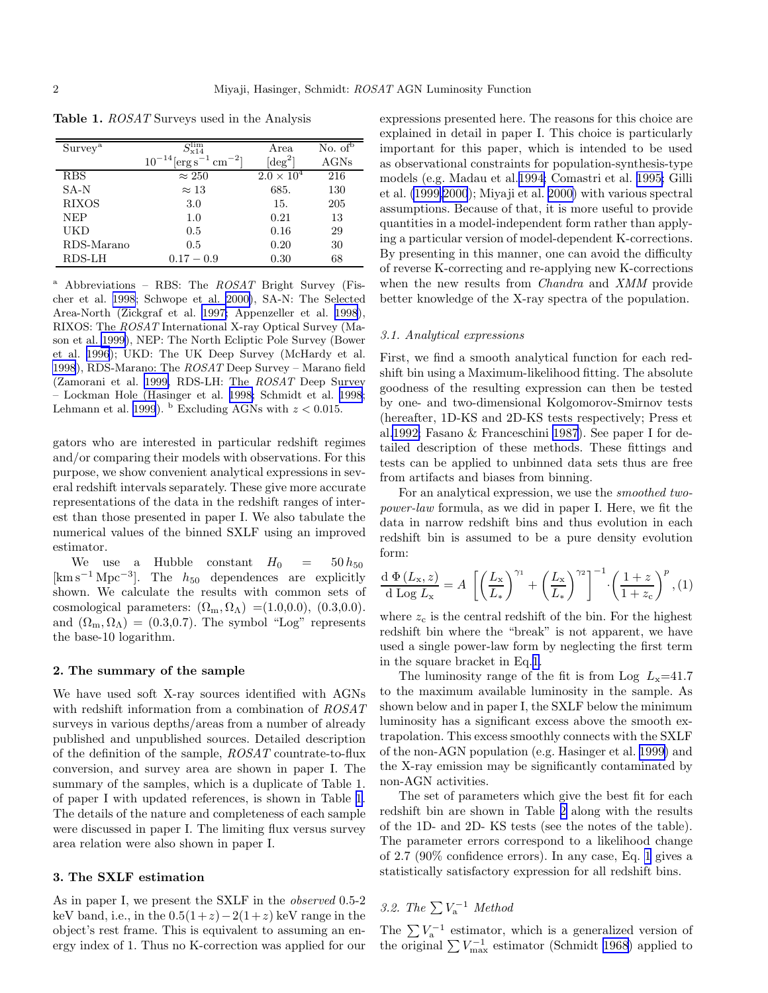| Survey <sup>a</sup> | $S^{\lim}_{x14}$                                   | Area                | No. $of^5$ |
|---------------------|----------------------------------------------------|---------------------|------------|
|                     | $10^{-14}$ [erg s <sup>-1</sup> cm <sup>-2</sup> ] | $\deg^2$            | AGNs       |
| <b>RBS</b>          | $\approx 250$                                      | $2.0 \times 10^{4}$ | 216        |
| $SA-N$              | $\approx 13$                                       | 685.                | 130        |
| <b>RIXOS</b>        | 3.0                                                | 15.                 | 205        |
| <b>NEP</b>          | 1.0                                                | 0.21                | 13         |
| UKD                 | 0.5                                                | 0.16                | 29         |
| RDS-Marano          | 0.5                                                | 0.20                | 30         |
| RDS-LH              | $0.17 - 0.9$                                       | 0.30                | 68         |

<span id="page-1-0"></span>Table 1. *ROSAT* Surveys used in the Analysis

<sup>a</sup> Abbreviations – RBS: The  $ROSAT$  Bright Survey (Fischer et al. [1998](#page-5-0); Schwope et al. [2000\)](#page-6-0), SA-N: The Selected Area-North (Zickgraf et al. [1997;](#page-6-0) Appenzeller et al. [1998](#page-5-0)), RIXOS: The ROSAT International X-ray Optical Survey (Mason et al. [1999\)](#page-6-0), NEP: The North Ecliptic Pole Survey (Bower et al. [1996](#page-5-0)); UKD: The UK Deep Survey (McHardy et al. [1998](#page-6-0)), RDS-Marano: The ROSAT Deep Survey – Marano field (Zamorani et al. [1999,](#page-6-0) RDS-LH: The ROSAT Deep Survey – Lockman Hole (Hasinger et al. [1998;](#page-5-0) Schmidt et al. [1998;](#page-6-0) Lehmann et al. [1999](#page-5-0)).  $^{\rm b}$  Excluding AGNs with  $z < 0.015$ .

gators who are interested in particular redshift regimes and/or comparing their models with observations. For this purpose, we show convenient analytical expressions in several redshift intervals separately. These give more accurate representations of the data in the redshift ranges of interest than those presented in paper I. We also tabulate the numerical values of the binned SXLF using an improved estimator.

We use a Hubble constant  $H_0 = 50 h_{50}$  $[\text{km}\,\text{s}^{-1}\,\text{Mpc}^{-3}]$ . The  $h_{50}$  dependences are explicitly shown. We calculate the results with common sets of cosmological parameters:  $(\Omega_{\rm m}, \Omega_{\Lambda}) = (1.0, 0.0), (0.3, 0.0).$ and  $(\Omega_{\rm m}, \Omega_{\Lambda}) = (0.3, 0.7)$ . The symbol "Log" represents the base-10 logarithm.

## 2. The summary of the sample

We have used soft X-ray sources identified with AGNs with redshift information from a combination of *ROSAT* surveys in various depths/areas from a number of already published and unpublished sources. Detailed description of the definition of the sample, *ROSAT* countrate-to-flux conversion, and survey area are shown in paper I. The summary of the samples, which is a duplicate of Table 1. of paper I with updated references, is shown in Table 1. The details of the nature and completeness of each sample were discussed in paper I. The limiting flux versus survey area relation were also shown in paper I.

# 3. The SXLF estimation

As in paper I, we present the SXLF in the *observed* 0.5-2 keV band, i.e., in the  $0.5(1+z)-2(1+z)$  keV range in the object's rest frame. This is equivalent to assuming an energy index of 1. Thus no K-correction was applied for our expressions presented here. The reasons for this choice are explained in detail in paper I. This choice is particularly important for this paper, which is intended to be used as observational constraints for population-synthesis-type models (e.g. Madau et al.[1994;](#page-6-0) Comastri et al. [1995;](#page-5-0) Gilli et al. [\(1999,2000](#page-5-0)); Miyaji et al. [2000\)](#page-6-0) with various spectral assumptions. Because of that, it is more useful to provide quantities in a model-independent form rather than applying a particular version of model-dependent K-corrections. By presenting in this manner, one can avoid the difficulty of reverse K-correcting and re-applying new K-corrections when the new results from *Chandra* and *XMM* provide better knowledge of the X-ray spectra of the population.

### *3.1. Analytical expressions*

First, we find a smooth analytical function for each redshift bin using a Maximum-likelihood fitting. The absolute goodness of the resulting expression can then be tested by one- and two-dimensional Kolgomorov-Smirnov tests (hereafter, 1D-KS and 2D-KS tests respectively; Press et al[.1992;](#page-6-0) Fasano & Franceschini [1987](#page-5-0)). See paper I for detailed description of these methods. These fittings and tests can be applied to unbinned data sets thus are free from artifacts and biases from binning.

For an analytical expression, we use the *smoothed twopower-law* formula, as we did in paper I. Here, we fit the data in narrow redshift bins and thus evolution in each redshift bin is assumed to be a pure density evolution form:

$$
\frac{\mathrm{d}\ \Phi\left(L_{\mathrm{x}},z\right)}{\mathrm{d}\ \mathrm{Log}\ L_{\mathrm{x}}} = A\ \left[ \left(\frac{L_{\mathrm{x}}}{L_{*}}\right)^{\gamma_{1}} + \left(\frac{L_{\mathrm{x}}}{L_{*}}\right)^{\gamma_{2}}\right]^{-1} \cdot \left(\frac{1+z}{1+z_{\mathrm{c}}}\right)^{p}, (1)
$$

where  $z_c$  is the central redshift of the bin. For the highest redshift bin where the "break" is not apparent, we have used a single power-law form by neglecting the first term in the square bracket in Eq.1.

The luminosity range of the fit is from Log  $L_x=41.7$ to the maximum available luminosity in the sample. As shown below and in paper I, the SXLF below the minimum luminosity has a significant excess above the smooth extrapolation. This excess smoothly connects with the SXLF of the non-AGN population (e.g. Hasinger et al. [1999\)](#page-5-0) and the X-ray emission may be significantly contaminated by non-AGN activities.

The set of parameters which give the best fit for each redshift bin are shown in Table [2](#page-2-0) along with the results of the 1D- and 2D- KS tests (see the notes of the table). The parameter errors correspond to a likelihood change of 2.7 (90% confidence errors). In any case, Eq. 1 gives a statistically satisfactory expression for all redshift bins.

# 3.2. The  $\sum V_{\rm a}^{-1}$  Method

The  $\sum V_{\rm a}^{-1}$  estimator, which is a generalized version of the original  $\sum V_{\text{max}}^{-1}$  estimator (Schmidt [1968\)](#page-6-0) applied to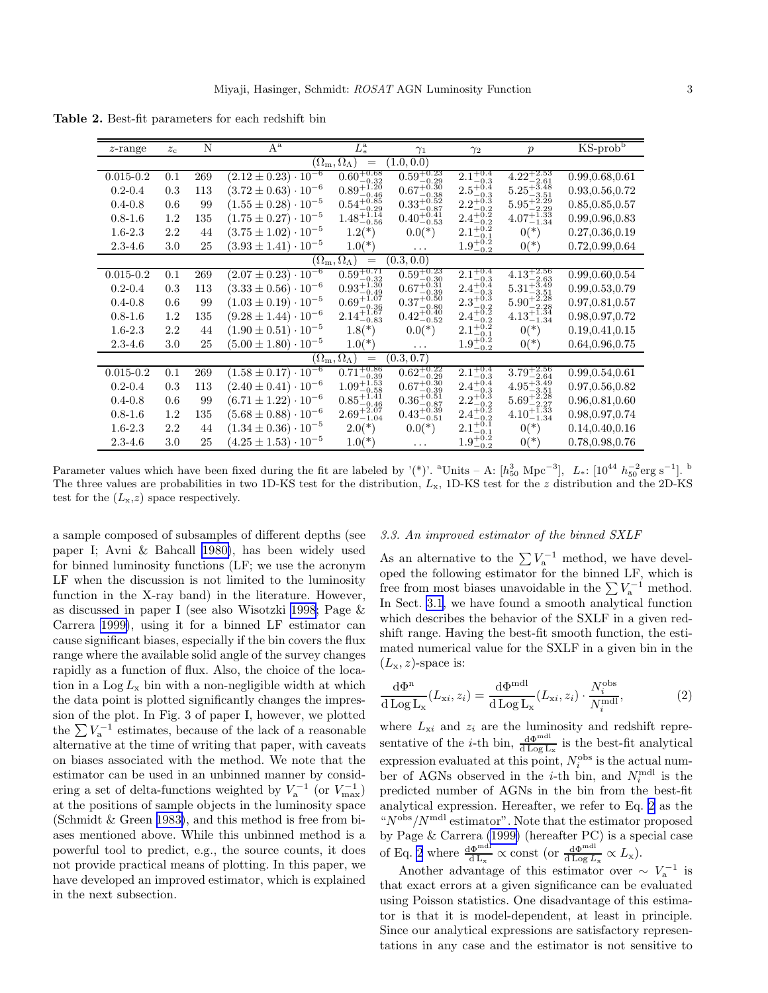| $z$ -range                                             | $z_c$ | N   | $A^a$                           | $L^{\rm a}_*$                                    | $\gamma_1$                                              | $\gamma_2$                                 | $\boldsymbol{p}$                                 | $KS$ -prob $b$   |  |
|--------------------------------------------------------|-------|-----|---------------------------------|--------------------------------------------------|---------------------------------------------------------|--------------------------------------------|--------------------------------------------------|------------------|--|
| (1.0, 0.0)<br>$(\Omega_{\rm m},\Omega_\Lambda)$<br>$=$ |       |     |                                 |                                                  |                                                         |                                            |                                                  |                  |  |
| $0.015 - 0.2$                                          | 0.1   | 269 | $(2.12 \pm 0.23) \cdot 10^{-6}$ | $0.60^{+0.68}_{-0.32}$                           | $0.59^{+0.23}_{-0.29}$                                  | $2.1^{+0.4}_{-0.3}$                        | $4.22_{-2.61}^{+2.53}$                           | 0.99,0.68,0.61   |  |
| $0.2 - 0.4$                                            | 0.3   | 113 | $(3.72 \pm 0.63) \cdot 10^{-6}$ | $0.89^{+\check{1},\check{2}\check{0}}$           | $0.67^{+\check{0}.\tilde{3} \check{0}}$<br>$-0.38$      | $2.5^{+0.4}_{-0.2}$<br>$-0.3$              | $5.25^{+3.48}_{-2.72}$                           | 0.93, 0.56, 0.72 |  |
| $0.4 - 0.8$                                            | 0.6   | 99  | $(1.55 \pm 0.28) \cdot 10^{-5}$ | $0.89_{-0.46}^{+0.46}$<br>$0.54_{-0.29}^{+0.85}$ | $0.33_{-0.87}^{+0.52}$                                  | $2.2^{+0.3}_{-0.2}$                        | $5.25_{-3.51}^{+3.51}_{-2.29}$                   | 0.85, 0.85, 0.57 |  |
| $0.8 - 1.6$                                            | 1.2   | 135 | $(1.75 \pm 0.27) \cdot 10^{-5}$ | $1.48^{+1.14}_{-0.56}$                           | $0.40^{+0.41}_{-0.53}$                                  | $2.4^{+0.2}_{-0.2}$<br>$-0.2$              | $4.07^{+\overline{1}.\overline{3}3}_{-1.34}$     | 0.99, 0.96, 0.83 |  |
| $1.6 - 2.3$                                            | 2.2   | 44  | $(3.75 \pm 1.02) \cdot 10^{-5}$ | $1.2(*)$                                         | $0.0(*)$                                                | $2.1^{+0.2}_{-0.2}$                        | $0(*)$                                           | 0.27, 0.36, 0.19 |  |
| $2.3 - 4.6$                                            | 3.0   | 25  | $(3.93 \pm 1.41)\cdot 10^{-5}$  | $1.0(*)$                                         |                                                         | $1.9^{+0.2}_{-0.2}$                        | $0(*)$                                           | 0.72,0.99,0.64   |  |
|                                                        |       |     |                                 | $(\Omega_{\rm m},\Omega_\Lambda)$<br>$\!\!=\!\!$ | (0.3, 0.0)                                              |                                            |                                                  |                  |  |
| $0.015 - 0.2$                                          | 0.1   | 269 | $(2.07 \pm 0.23) \cdot 10^{-6}$ | $0.59^{+0.71}_{-0.32}$                           | $0.59^{+0.23}_{-0.30}$                                  | $2.1^{+0.4}_{-0.3}$                        | $4.13^{+2.56}_{-2.63}$                           | 0.99, 0.60, 0.54 |  |
| $0.2 - 0.4$                                            | 0.3   | 113 | $(3.33 \pm 0.56) \cdot 10^{-6}$ | $0.93_{-0.49}^{+1.30}$                           | $0.67^{+0.31}_{-0.39}$                                  | $2.4^{+0.4}_{-0.3}$                        | $5.31^{+3.49}_{-3.51}$                           | 0.99, 0.53, 0.79 |  |
| $0.4 - 0.8$                                            | 0.6   | 99  | $(1.03 \pm 0.19) \cdot 10^{-5}$ | $0.69^{+\check{1}.\check{0}7}_{\circ}$           | $0.37^{+\check{0}.\check{5}0}_{\circ\circ\circ}$        | $2.3^{+0.3}_{-0.2}$                        | $5.90_{-2.28}^{+2.28}$                           | 0.97, 0.81, 0.57 |  |
| $0.8 - 1.6$                                            | 1.2   | 135 | $(9.28 \pm 1.44) \cdot 10^{-6}$ | $0.09-0.362.14+1.67-0.83$                        | $0.37_{-0.80}^{+0.80}$<br>$0.42_{-0.52}^{+0.40}$        | $2.3_{-0.2}^{+0.2}$<br>$2.4_{-0.2}^{+0.2}$ | $4.13_{-1.34}^{+1.34}$                           | 0.98, 0.97, 0.72 |  |
| $1.6 - 2.3$                                            | 2.2   | 44  | $(1.90 \pm 0.51) \cdot 10^{-5}$ | $1.8(*)$                                         | $0.0(*)$                                                | $2.1^{+0.2}_{-0.1}$                        | $0(*)$                                           | 0.19, 0.41, 0.15 |  |
| $2.3 - 4.6$                                            | 3.0   | 25  | $(5.00 \pm 1.80) \cdot 10^{-5}$ | $1.0(*)$                                         | .                                                       | $1.9^{+0.2}_{-0.2}$                        | $0(*)$                                           | 0.64, 0.96, 0.75 |  |
| $(\Omega_{\rm m},\Omega_\Lambda)$<br>(0.3,0.7)<br>$=$  |       |     |                                 |                                                  |                                                         |                                            |                                                  |                  |  |
| $0.015 - 0.2$                                          | 0.1   | 269 | $(1.58 \pm 0.17) \cdot 10^{-6}$ | $0.71^{+0.86}_{-0.39}$                           | $0.62^{+0.22}_{-0.29}$                                  | $2.1^{+0.4}_{-0.3}$                        | $3.79^{+2.56}_{-2.64}$<br>$4.95^{+3.49}_{-3.51}$ | 0.99, 0.54, 0.61 |  |
| $0.2 - 0.4$                                            | 0.3   | 113 | $(2.40 \pm 0.41) \cdot 10^{-6}$ | $1.09_{-0.58}^{+1.53}$                           | $0.67^{+0.30}_{-0.39}$                                  | $2.4^{+0.4}_{-0.3}$                        |                                                  | 0.97,0.56,0.82   |  |
| $0.4 - 0.8$                                            | 0.6   | 99  | $(6.71 \pm 1.22) \cdot 10^{-6}$ | $0.85_{-0.46}^{+1.41}$                           |                                                         |                                            | $5.69_{-2.27}^{+2.28}$                           | 0.96, 0.81, 0.60 |  |
| $0.8 - 1.6$                                            | 1.2   | 135 | $(5.68 \pm 0.88) \cdot 10^{-6}$ | $2.69^{+2.07}_{-1.04}$                           | $0.36^{+0.51}_{-0.87}_{-0.39}$<br>0.43 <sup>+0.39</sup> | $2.2^{+0.3}_{-0.2}$<br>$2.4^{+0.2}_{-0.2}$ | $4.10^{+1.33}_{-1.34}$                           | 0.98, 0.97, 0.74 |  |
| $1.6 - 2.3$                                            | 2.2   | 44  | $(1.34 \pm 0.36) \cdot 10^{-5}$ | $2.0(*)$                                         | $0.0(*)$                                                | $2.1^{+0.1}_{-0.1}$                        | $0(*)$                                           | 0.14, 0.40, 0.16 |  |
| $2.3 - 4.6$                                            | 3.0   | 25  | $(4.25 \pm 1.53) \cdot 10^{-5}$ | $1.0(*)$                                         | .                                                       | $1.9^{+0.2}_{-0.2}$                        | $0(*)$                                           | 0.78, 0.98, 0.76 |  |

<span id="page-2-0"></span>Table 2. Best-fit parameters for each redshift bin

Parameter values which have been fixed during the fit are labeled by '(\*)'. <sup>a</sup>Units – A: [ $h_{50}^{3}$  Mpc<sup>-3</sup>],  $L_*$ : [10<sup>44</sup>  $h_{50}^{-2}$ erg s<sup>-1</sup>]. <sup>b</sup> The three values are probabilities in two 1D-KS test for the distribution,  $L_x$ , 1D-KS test for the  $z$  distribution and the 2D-KS test for the  $(L_{x},z)$  space respectively.

a sample composed of subsamples of different depths (see paper I; Avni & Bahcall [1980\)](#page-5-0), has been widely used for binned luminosity functions (LF; we use the acronym LF when the discussion is not limited to the luminosity function in the X-ray band) in the literature. However, as discussed in paper I (see also Wisotzki [1998;](#page-6-0) Page & Carrera [1999\)](#page-6-0), using it for a binned LF estimator can cause significant biases, especially if the bin covers the flux range where the available solid angle of the survey changes rapidly as a function of flux. Also, the choice of the location in a  $\text{Log } L_{\text{x}}$  bin with a non-negligible width at which the data point is plotted significantly changes the impression of the plot. In Fig. 3 of paper I, however, we plotted the  $\sum V_{\rm a}^{-1}$  estimates, because of the lack of a reasonable alternative at the time of writing that paper, with caveats on biases associated with the method. We note that the estimator can be used in an unbinned manner by considering a set of delta-functions weighted by  $V_a^{-1}$  (or  $V_{\text{max}}^{-1}$ ) at the positions of sample objects in the luminosity space (Schmidt & Green [1983\)](#page-6-0), and this method is free from biases mentioned above. While this unbinned method is a powerful tool to predict, e.g., the source counts, it does not provide practical means of plotting. In this paper, we have developed an improved estimator, which is explained in the next subsection.

# *3.3. An improved estimator of the binned SXLF*

As an alternative to the  $\sum V_a^{-1}$  method, we have developed the following estimator for the binned LF, which is free from most biases unavoidable in the  $\sum V_a^{-1}$  method. In Sect. [3.1](#page-1-0), we have found a smooth analytical function which describes the behavior of the SXLF in a given redshift range. Having the best-fit smooth function, the estimated numerical value for the SXLF in a given bin in the  $(L_{\rm x}, z)$ -space is:

$$
\frac{\mathrm{d}\Phi^{\mathrm{n}}}{\mathrm{d}\log L_{\mathrm{x}}}(L_{\mathrm{x}i},z_{i}) = \frac{\mathrm{d}\Phi^{\mathrm{mdl}}}{\mathrm{d}\log L_{\mathrm{x}}}(L_{\mathrm{x}i},z_{i}) \cdot \frac{N_{i}^{\mathrm{obs}}}{N_{i}^{\mathrm{mdl}}},\tag{2}
$$

where  $L_{\text{xi}}$  and  $z_i$  are the luminosity and redshift representative of the *i*-th bin,  $\frac{d\Phi^{mdl}}{d\log L_x}$  is the best-fit analytical expression evaluated at this point,  $N_i^{\text{obs}}$  is the actual number of AGNs observed in the *i*-th bin, and  $N_i^{\text{mdl}}$  is the predicted number of AGNs in the bin from the best-fit analytical expression. Hereafter, we refer to Eq. 2 as the  $N^{\text{obs}}/N^{\text{mdl}}$  estimator". Note that the estimator proposed by Page & Carrera [\(1999\)](#page-6-0) (hereafter PC) is a special case of Eq. 2 where  $\frac{d\Phi^{mdl}}{dL_x} \propto$  const (or  $\frac{d\Phi^{mdl}}{dLog L_x} \propto L_x$ ).

Another advantage of this estimator over  $\sim V_a^{-1}$  is that exact errors at a given significance can be evaluated using Poisson statistics. One disadvantage of this estimator is that it is model-dependent, at least in principle. Since our analytical expressions are satisfactory representations in any case and the estimator is not sensitive to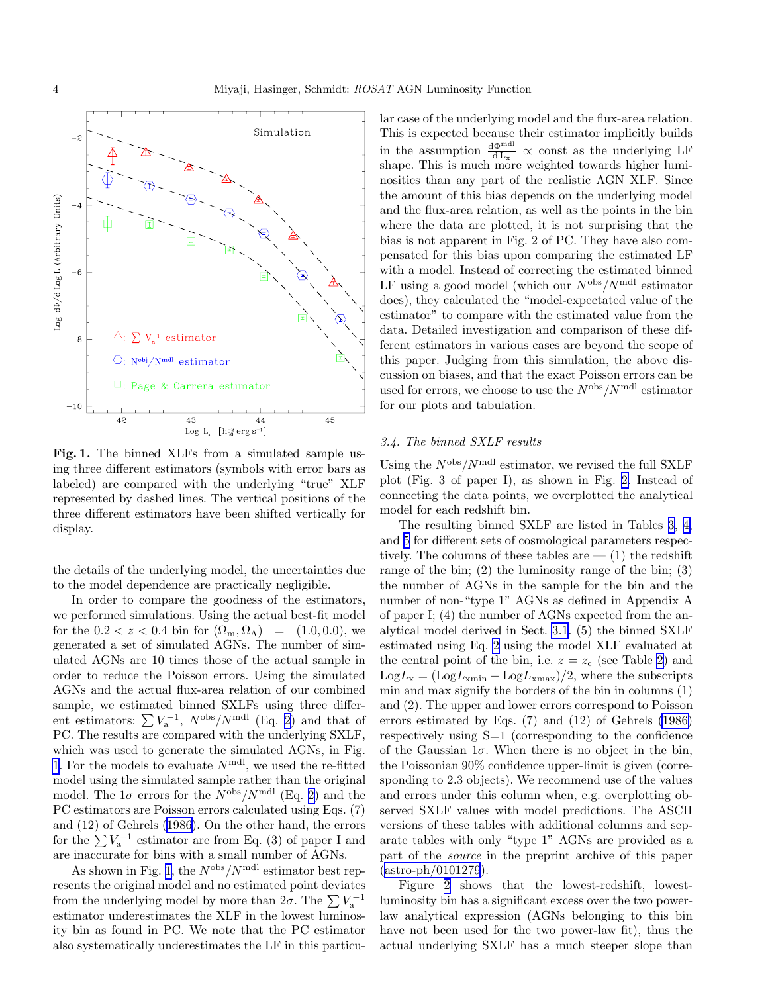

Fig. 1. The binned XLFs from a simulated sample using three different estimators (symbols with error bars as labeled) are compared with the underlying "true" XLF represented by dashed lines. The vertical positions of the three different estimators have been shifted vertically for display.

the details of the underlying model, the uncertainties due to the model dependence are practically negligible.

In order to compare the goodness of the estimators, we performed simulations. Using the actual best-fit model for the  $0.2 < z < 0.4$  bin for  $(\Omega_{\rm m}, \Omega_{\Lambda}) = (1.0, 0.0)$ , we generated a set of simulated AGNs. The number of simulated AGNs are 10 times those of the actual sample in order to reduce the Poisson errors. Using the simulated AGNs and the actual flux-area relation of our combined sample, we estimated binned SXLFs using three different estimators:  $\sum V_a^{-1}$ ,  $N^{\text{obs}}/N^{\text{mdl}}$  (Eq. [2\)](#page-2-0) and that of PC. The results are compared with the underlying SXLF, which was used to generate the simulated AGNs, in Fig. 1. For the models to evaluate  $N^{\text{mdl}}$ , we used the re-fitted model using the simulated sample rather than the original model. The  $1\sigma$  errors for the  $N^{\text{obs}}/N^{\text{mdl}}$  (Eq. [2\)](#page-2-0) and the PC estimators are Poisson errors calculated using Eqs. (7) and (12) of Gehrels [\(1986](#page-5-0)). On the other hand, the errors for the  $\sum V_{a}^{-1}$  estimator are from Eq. (3) of paper I and are inaccurate for bins with a small number of AGNs.

As shown in Fig. 1, the  $N^{\text{obs}}/N^{\text{mdl}}$  estimator best represents the original model and no estimated point deviates from the underlying model by more than  $2\sigma$ . The  $\sum V_{a}^{-1}$ estimator underestimates the XLF in the lowest luminosity bin as found in PC. We note that the PC estimator also systematically underestimates the LF in this particu-

lar case of the underlying model and the flux-area relation. This is expected because their estimator implicitly builds in the assumption  $\frac{d\Phi^{md}}{dL_x} \propto$  const as the underlying LF shape. This is much more weighted towards higher luminosities than any part of the realistic AGN XLF. Since the amount of this bias depends on the underlying model and the flux-area relation, as well as the points in the bin where the data are plotted, it is not surprising that the bias is not apparent in Fig. 2 of PC. They have also compensated for this bias upon comparing the estimated LF with a model. Instead of correcting the estimated binned LF using a good model (which our  $N^{\text{obs}}/N^{\text{mdl}}$  estimator does), they calculated the "model-expectated value of the estimator" to compare with the estimated value from the data. Detailed investigation and comparison of these different estimators in various cases are beyond the scope of this paper. Judging from this simulation, the above discussion on biases, and that the exact Poisson errors can be used for errors, we choose to use the  $N^{\text{obs}}/N^{\text{mdl}}$  estimator for our plots and tabulation.

# *3.4. The binned SXLF results*

Using the  $N^{\text{obs}}/N^{\text{mdl}}$  estimator, we revised the full SXLF plot (Fig. 3 of paper I), as shown in Fig. [2.](#page-4-0) Instead of connecting the data points, we overplotted the analytical model for each redshift bin.

The resulting binned SXLF are listed in Tables [3,](#page-6-0) [4,](#page-7-0) and [5](#page-7-0) for different sets of cosmological parameters respectively. The columns of these tables are  $-$  (1) the redshift range of the bin; (2) the luminosity range of the bin; (3) the number of AGNs in the sample for the bin and the number of non-"type 1" AGNs as defined in Appendix A of paper I; (4) the number of AGNs expected from the analytical model derived in Sect. [3.1](#page-1-0). (5) the binned SXLF estimated using Eq. [2](#page-2-0) using the model XLF evaluated at the central point of the bin, i.e.  $z = z_c$  (see Table [2\)](#page-2-0) and  $Log L_x = (Log L_{xmin} + Log L_{xmax})/2$ , where the subscripts min and max signify the borders of the bin in columns (1) and (2). The upper and lower errors correspond to Poisson errors estimated by Eqs. (7) and (12) of Gehrels [\(1986\)](#page-5-0) respectively using S=1 (corresponding to the confidence of the Gaussian  $1\sigma$ . When there is no object in the bin, the Poissonian 90% confidence upper-limit is given (corresponding to 2.3 objects). We recommend use of the values and errors under this column when, e.g. overplotting observed SXLF values with model predictions. The ASCII versions of these tables with additional columns and separate tables with only "type 1" AGNs are provided as a part of the *source* in the preprint archive of this paper  $(astro-ph/0101279).$  $(astro-ph/0101279).$  $(astro-ph/0101279).$ 

Figure [2](#page-4-0) shows that the lowest-redshift, lowestluminosity bin has a significant excess over the two powerlaw analytical expression (AGNs belonging to this bin have not been used for the two power-law fit), thus the actual underlying SXLF has a much steeper slope than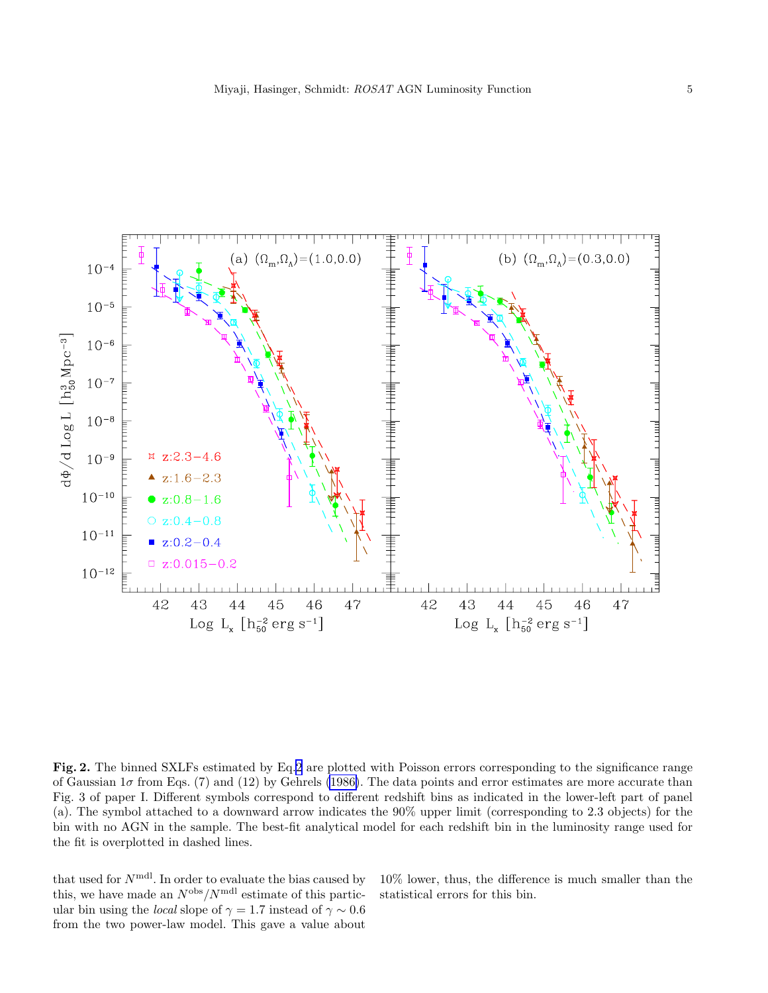<span id="page-4-0"></span>

Fig. 2. The binned SXLFs estimated by Eq[.2](#page-2-0) are plotted with Poisson errors corresponding to the significance range of Gaussian  $1\sigma$  from Eqs. (7) and (12) by Gehrels [\(1986\)](#page-5-0). The data points and error estimates are more accurate than Fig. 3 of paper I. Different symbols correspond to different redshift bins as indicated in the lower-left part of panel (a). The symbol attached to a downward arrow indicates the 90% upper limit (corresponding to 2.3 objects) for the bin with no AGN in the sample. The best-fit analytical model for each redshift bin in the luminosity range used for the fit is overplotted in dashed lines.

that used for  $N^{\text{mdl}}$ . In order to evaluate the bias caused by this, we have made an  $N^{\text{obs}}/N^{\text{mdl}}$  estimate of this particular bin using the *local* slope of  $\gamma = 1.7$  instead of  $\gamma \sim 0.6$ from the two power-law model. This gave a value about

10% lower, thus, the difference is much smaller than the statistical errors for this bin.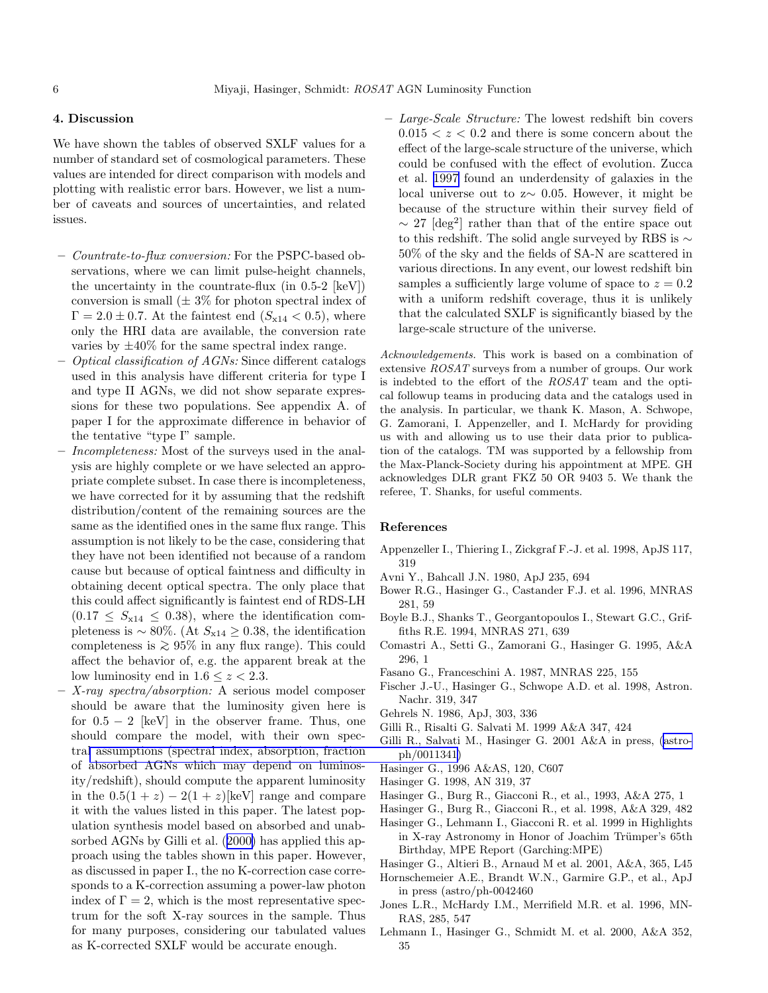# <span id="page-5-0"></span>4. Discussion

We have shown the tables of observed SXLF values for a number of standard set of cosmological parameters. These values are intended for direct comparison with models and plotting with realistic error bars. However, we list a number of caveats and sources of uncertainties, and related issues.

- *Countrate-to-flux conversion:* For the PSPC-based observations, where we can limit pulse-height channels, the uncertainty in the countrate-flux (in  $0.5-2$  [keV]) conversion is small  $(\pm 3\%$  for photon spectral index of  $\Gamma = 2.0 \pm 0.7$ . At the faintest end  $(S_{x14} < 0.5)$ , where only the HRI data are available, the conversion rate varies by  $\pm 40\%$  for the same spectral index range.
- *Optical classification of AGNs:* Since different catalogs used in this analysis have different criteria for type I and type II AGNs, we did not show separate expressions for these two populations. See appendix A. of paper I for the approximate difference in behavior of the tentative "type I" sample.
- *Incompleteness:* Most of the surveys used in the analysis are highly complete or we have selected an appropriate complete subset. In case there is incompleteness, we have corrected for it by assuming that the redshift distribution/content of the remaining sources are the same as the identified ones in the same flux range. This assumption is not likely to be the case, considering that they have not been identified not because of a random cause but because of optical faintness and difficulty in obtaining decent optical spectra. The only place that this could affect significantly is faintest end of RDS-LH  $(0.17 \leq S_{x14} \leq 0.38)$ , where the identification completeness is  $\sim 80\%$ . (At  $S_{x14} \ge 0.38$ , the identification completeness is  $≥ 95\%$  in any flux range). This could affect the behavior of, e.g. the apparent break at the low luminosity end in  $1.6 \leq z < 2.3$ .
- *X-ray spectra/absorption:* A serious model composer should be aware that the luminosity given here is for  $0.5 - 2$  [keV] in the observer frame. Thus, one should compare the model, with their own spectra[l assumptions \(spectral index, absorption, fraction](http://arxiv.org/abs/astro-ph/0011341) of absorbed AGNs which may depend on luminosity/redshift), should compute the apparent luminosity in the  $0.5(1+z) - 2(1+z)$ [keV] range and compare it with the values listed in this paper. The latest population synthesis model based on absorbed and unabsorbed AGNs by Gilli et al. (2000) has applied this approach using the tables shown in this paper. However, as discussed in paper I., the no K-correction case corresponds to a K-correction assuming a power-law photon index of  $\Gamma = 2$ , which is the most representative spectrum for the soft X-ray sources in the sample. Thus for many purposes, considering our tabulated values as K-corrected SXLF would be accurate enough.

– *Large-Scale Structure:* The lowest redshift bin covers  $0.015 < z < 0.2$  and there is some concern about the effect of the large-scale structure of the universe, which could be confused with the effect of evolution. Zucca et al. [1997](#page-6-0) found an underdensity of galaxies in the local universe out to z∼ 0.05. However, it might be because of the structure within their survey field of  $\sim$  27 [deg<sup>2</sup>] rather than that of the entire space out to this redshift. The solid angle surveyed by RBS is ∼ 50% of the sky and the fields of SA-N are scattered in various directions. In any event, our lowest redshift bin samples a sufficiently large volume of space to  $z = 0.2$ with a uniform redshift coverage, thus it is unlikely that the calculated SXLF is significantly biased by the large-scale structure of the universe.

Acknowledgements. This work is based on a combination of extensive ROSAT surveys from a number of groups. Our work is indebted to the effort of the ROSAT team and the optical followup teams in producing data and the catalogs used in the analysis. In particular, we thank K. Mason, A. Schwope, G. Zamorani, I. Appenzeller, and I. McHardy for providing us with and allowing us to use their data prior to publication of the catalogs. TM was supported by a fellowship from the Max-Planck-Society during his appointment at MPE. GH acknowledges DLR grant FKZ 50 OR 9403 5. We thank the referee, T. Shanks, for useful comments.

### References

- Appenzeller I., Thiering I., Zickgraf F.-J. et al. 1998, ApJS 117, 319
- Avni Y., Bahcall J.N. 1980, ApJ 235, 694
- Bower R.G., Hasinger G., Castander F.J. et al. 1996, MNRAS 281, 59
- Boyle B.J., Shanks T., Georgantopoulos I., Stewart G.C., Griffiths R.E. 1994, MNRAS 271, 639
- Comastri A., Setti G., Zamorani G., Hasinger G. 1995, A&A 296, 1
- Fasano G., Franceschini A. 1987, MNRAS 225, 155
- Fischer J.-U., Hasinger G., Schwope A.D. et al. 1998, Astron. Nachr. 319, 347
- Gehrels N. 1986, ApJ, 303, 336
- Gilli R., Risalti G. Salvati M. 1999 A&A 347, 424
- Gilli R., Salvati M., Hasinger G. 2001 A&A in press, [\(astro](http://arxiv.org/abs/astro-ph/0011341)ph/0011341)
- Hasinger G., 1996 A&AS, 120, C607
- Hasinger G. 1998, AN 319, 37
- Hasinger G., Burg R., Giacconi R., et al., 1993, A&A 275, 1
- Hasinger G., Burg R., Giacconi R., et al. 1998, A&A 329, 482
- Hasinger G., Lehmann I., Giacconi R. et al. 1999 in Highlights in X-ray Astronomy in Honor of Joachim Trümper's 65th Birthday, MPE Report (Garching:MPE)
- Hasinger G., Altieri B., Arnaud M et al. 2001, A&A, 365, L45

Hornschemeier A.E., Brandt W.N., Garmire G.P., et al., ApJ in press (astro/ph-0042460

- Jones L.R., McHardy I.M., Merrifield M.R. et al. 1996, MN-RAS, 285, 547
- Lehmann I., Hasinger G., Schmidt M. et al. 2000, A&A 352, 35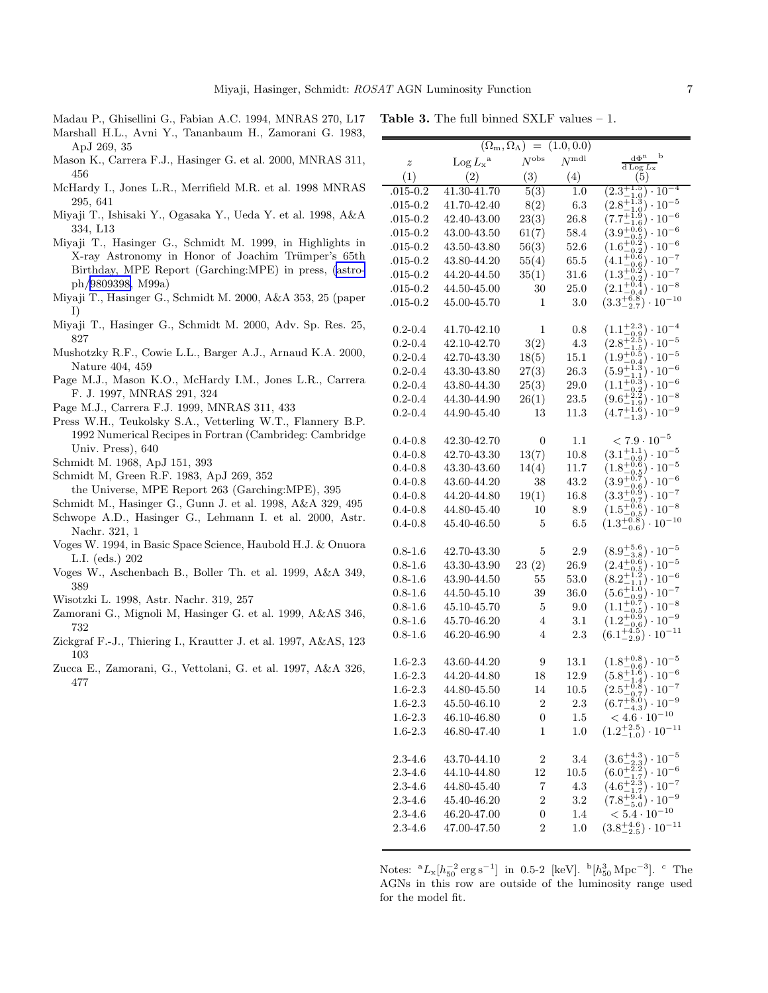$\equiv$ 

<span id="page-6-0"></span>Madau P., Ghisellini G., Fabian A.C. 1994, MNRAS 270, L17

Table 3. The full binned SXLF values – 1.

- Marshall H.L., Avni Y., Tananbaum H., Zamorani G. 1983, ApJ 269, 35
- Mason K., Carrera F.J., Hasinger G. et al. 2000, MNRAS 311, 456
- McHardy I., Jones L.R., Merrifield M.R. et al. 1998 MNRAS 295, 641
- Miyaji T., Ishisaki Y., Ogasaka Y., Ueda Y. et al. 1998, A&A 334, L13
- Miyaji T., Hasinger G., Schmidt M. 1999, in Highlights in X-ray Astronomy in Honor of Joachim Trümper's 65th Birthday, MPE Report (Garching:MPE) in press, [\(astro](http://arxiv.org/abs/astro-ph/9809398)ph/[9809398,](http://arxiv.org/abs/astro-ph/9809398) M99a)
- Miyaji T., Hasinger G., Schmidt M. 2000, A&A 353, 25 (paper I)
- Miyaji T., Hasinger G., Schmidt M. 2000, Adv. Sp. Res. 25, 827
- Mushotzky R.F., Cowie L.L., Barger A.J., Arnaud K.A. 2000, Nature 404, 459
- Page M.J., Mason K.O., McHardy I.M., Jones L.R., Carrera F. J. 1997, MNRAS 291, 324
- Page M.J., Carrera F.J. 1999, MNRAS 311, 433
- Press W.H., Teukolsky S.A., Vetterling W.T., Flannery B.P. 1992 Numerical Recipes in Fortran (Cambrideg: Cambridge Univ. Press), 640
- Schmidt M. 1968, ApJ 151, 393
- Schmidt M, Green R.F. 1983, ApJ 269, 352
	- the Universe, MPE Report 263 (Garching:MPE), 395
- Schmidt M., Hasinger G., Gunn J. et al. 1998, A&A 329, 495
- Schwope A.D., Hasinger G., Lehmann I. et al. 2000, Astr. Nachr. 321, 1
- Voges W. 1994, in Basic Space Science, Haubold H.J. & Onuora L.I. (eds.) 202
- Voges W., Aschenbach B., Boller Th. et al. 1999, A&A 349, 389
- Wisotzki L. 1998, Astr. Nachr. 319, 257
- Zamorani G., Mignoli M, Hasinger G. et al. 1999, A&AS 346, 732
- Zickgraf F.-J., Thiering I., Krautter J. et al. 1997, A&AS, 123 103
- Zucca E., Zamorani, G., Vettolani, G. et al. 1997, A&A 326, 477

|                  | $(\Omega_{\rm m},\overline{\Omega_\Lambda}) =$ |                  |                |                                                                                                                                                                                                    |  |
|------------------|------------------------------------------------|------------------|----------------|----------------------------------------------------------------------------------------------------------------------------------------------------------------------------------------------------|--|
| $\boldsymbol{z}$ | $\text{Log } L_x^{\text{a}}$                   | $N^{\rm obs}$    | $N^{\rm{mdl}}$ | b<br>$d\Phi^n$<br>$d$ Log $L_x$                                                                                                                                                                    |  |
| (1)              | (2)                                            | (3)              | (4)            | (5)                                                                                                                                                                                                |  |
| $.015 - 0.2$     | 41.30-41.70                                    | 5(3)             | 1.0            | $(2.3^{+1.5}_{-1.0})$<br>$\cdot 10^{-4}$                                                                                                                                                           |  |
| $.015 - 0.2$     | 41.70-42.40                                    | 8(2)             | 6.3            | $(2.8^{+1.3}_{-1.0}) \cdot 10^{-5}$                                                                                                                                                                |  |
| $.015 - 0.2$     | 42.40-43.00                                    | 23(3)            | 26.8           | $\binom{1.5}{1.6} \cdot 10^{-6}$<br>$(7.7^{+}$                                                                                                                                                     |  |
| $.015 - 0.2$     | 43.00-43.50                                    | 61(7)            | 58.4           | $\frac{10}{0.5}$ . $10^{-6}$<br>$\frac{0.5}{0.2}$ .<br>$(3.9^{+0.0}_{-0.0})$                                                                                                                       |  |
| $.015 - 0.2$     | 43.50-43.80                                    | 56(3)            | 52.6           |                                                                                                                                                                                                    |  |
| $.015 - 0.2$     | 43.80-44.20                                    | 55(4)            | 65.5           |                                                                                                                                                                                                    |  |
| $.015 - 0.2$     | 44.20-44.50                                    | 35(1)            | 31.6           | $(1.6^{+0.2}_{-0.2}) \cdot 10^{-6}$<br>$(4.1^{+0.6}_{-0.6}) \cdot 10^{-7}$<br>$(1.3^{+0.2}_{-0.2}) \cdot 10^{-7}$                                                                                  |  |
| $.015 - 0.2$     | 44.50-45.00                                    | 30               | 25.0           | $(2.1^{+0.4}_{-0.4})\cdot 10^{-8}$                                                                                                                                                                 |  |
| $.015 - 0.2$     | 45.00-45.70                                    | 1                | 3.0            | $(3.3^{+6.8}_{-2.7}) \cdot 10^{-10}$                                                                                                                                                               |  |
|                  |                                                |                  |                |                                                                                                                                                                                                    |  |
| $0.2 - 0.4$      | 41.70-42.10                                    | 1                | 0.8            | $(1.1^{+2.3}_{-0.9}) \cdot 10^{-4}$<br>$(2.8^{+2.5}_{-1.5}) \cdot 10^{-5}$<br>$(1.9^{+0.5}_{-0.4}) \cdot 10^{-5}$<br>$(5.9^{+1.3}_{-1.4}) \cdot 10^{-6}$                                           |  |
| $0.2 - 0.4$      | 42.10-42.70                                    | 3(2)             | $4.3\,$        |                                                                                                                                                                                                    |  |
| $0.2 - 0.4$      | 42.70-43.30                                    | 18(5)            | 15.1           |                                                                                                                                                                                                    |  |
| $0.2 - 0.4$      | 43.30-43.80                                    | 27(3)            | 26.3           |                                                                                                                                                                                                    |  |
| $0.2 - 0.4$      | 43.80-44.30                                    | 25(3)            | 29.0           | $(1.1^{+0.3}_{-0.2}) \cdot 10^{-6}$                                                                                                                                                                |  |
| $0.2 - 0.4$      | 44.30-44.90                                    | 26(1)            | $23.5\,$       | $\binom{2.2}{1.9} \cdot 10^{-8}$<br>$(9.6^{+}$                                                                                                                                                     |  |
| $0.2 - 0.4$      | 44.90-45.40                                    | 13               | 11.3           | $(4.7^{+1.6}_{-1.3}) \cdot 10^{-9}$                                                                                                                                                                |  |
|                  |                                                |                  |                |                                                                                                                                                                                                    |  |
| $0.4 - 0.8$      | 42.30-42.70                                    | 0                | 1.1            | $< 7.9 \cdot 10^{-5}$                                                                                                                                                                              |  |
| $0.4 - 0.8$      | 42.70-43.30                                    | 13(7)            | 10.8           | $(3.1^{+1.1}_{-0.9}) \cdot 10^{-5}$                                                                                                                                                                |  |
| $0.4 - 0.8$      | 43.30-43.60                                    | 14(4)            | 11.7           | $(1.8^{+0.6}_{-0.5})\cdot 10^{-5}$                                                                                                                                                                 |  |
| $0.4 - 0.8$      | 43.60-44.20                                    | 38               | 43.2           |                                                                                                                                                                                                    |  |
| $0.4 - 0.8$      | 44.20-44.80                                    | 19(1)            | 16.8           |                                                                                                                                                                                                    |  |
| $0.4 - 0.8$      | 44.80-45.40                                    | 10               | 8.9            |                                                                                                                                                                                                    |  |
| $0.4 - 0.8$      | 45.40-46.50                                    | 5                | 6.5            | $(3.9^{+0.7}_{-0.6}) \cdot 10^{-6}$<br>$(3.3^{+0.9}_{-0.7}) \cdot 10^{-7}$<br>$(1.5^{+0.6}_{-0.5}) \cdot 10^{-8}$<br>$(1.3^{+0.8}_{-0.6}) \cdot 10^{-10}$                                          |  |
|                  |                                                |                  |                |                                                                                                                                                                                                    |  |
| $0.8 - 1.6$      | 42.70-43.30                                    | 5                | 2.9            | $(8.9^{+5.6}_{-3.8}) \cdot 10^{-5}$                                                                                                                                                                |  |
| $0.8 - 1.6$      | 43.30-43.90                                    | 23(2)            | 26.9           | $(2.4^{+0.6}_{-0.5})\cdot 10^{-5}$                                                                                                                                                                 |  |
| $0.8 - 1.6$      | 43.90-44.50                                    | 55               | 53.0           |                                                                                                                                                                                                    |  |
| $0.8 - 1.6$      | 44.50-45.10                                    | 39               | 36.0           |                                                                                                                                                                                                    |  |
| $0.8 - 1.6$      | 45.10-45.70                                    | 5                | 9.0            |                                                                                                                                                                                                    |  |
| $0.8 - 1.6$      | 45.70-46.20                                    | $\overline{4}$   | 3.1            | $\begin{array}{l} (8.2^{+1.2}_{-1.1}) \cdot 10^{-5}\\ (5.6^{+1.0}_{-0.9}) \cdot 10^{-7}\\ (1.1^{+0.7}_{-0.5}) \cdot 10^{-8}\\ (1.2^{+0.9}_{-0.6}) \cdot 10^{-8}\\ (1.2^{+0.9}_{-0.6}) \end{array}$ |  |
| $0.8 - 1.6$      | 46.20-46.90                                    | $\overline{4}$   | 2.3            | $(6.1_{-2.9}^{+4.5}) \cdot 10^{-11}$                                                                                                                                                               |  |
|                  |                                                |                  |                |                                                                                                                                                                                                    |  |
| $1.6 - 2.3$      | 43.60-44.20                                    | 9                | 13.1           | $(1.8^{+0.8}_{-0.6}) \cdot 10^{-5}$                                                                                                                                                                |  |
| $1.6 - 2.3$      | 44.20-44.80                                    | 18               | 12.9           |                                                                                                                                                                                                    |  |
| $1.6 - 2.3$      | 44.80-45.50                                    | $14\,$           | $10.5\,$       |                                                                                                                                                                                                    |  |
| $1.6 - 2.3$      | $45.50 - 46.10$                                | 2                | 2.3            | $(5.8^{+1.6}_{-1.4}) \cdot 10^{-6}$<br>$(2.5^{+0.8}_{-0.7}) \cdot 10^{-7}$<br>$(6.7^{+8.0}_{-4.3}) \cdot 10^{-9}$                                                                                  |  |
| $1.6 - 2.3$      | 46.10-46.80                                    | $\boldsymbol{0}$ | 1.5            | $< 4.6 \cdot 10^{-10}$                                                                                                                                                                             |  |
| $1.6 - 2.3$      | 46.80-47.40                                    | 1                | 1.0            | $(1.2^{+2.5}_{-1.0}) \cdot 10^{-11}$                                                                                                                                                               |  |
|                  |                                                |                  |                |                                                                                                                                                                                                    |  |
| $2.3 - 4.6$      | 43.70-44.10                                    | $\overline{c}$   | 3.4            |                                                                                                                                                                                                    |  |
| $2.3 - 4.6$      | 44.10-44.80                                    | 12               | 10.5           |                                                                                                                                                                                                    |  |
| $2.3 - 4.6$      | 44.80-45.40                                    | 7                | 4.3            |                                                                                                                                                                                                    |  |
| $2.3 - 4.6$      | 45.40-46.20                                    | $\overline{2}$   | $3.2\,$        | $\begin{array}{l} (3.6^{+4.3}_{-2.3}) \cdot 10^{-5}\\ (6.0^{+2.2}_{-1.7}) \cdot 10^{-6}\\ (4.6^{+2.3}_{-1.7}) \cdot 10^{-7}\\ (7.8^{+9.4}_{-5.0}) \cdot 10^{-9}\\ \end{array}$                     |  |
| $2.3 - 4.6$      | 46.20-47.00                                    | 0                | 1.4            | $< 5.4 \cdot 10^{-10}$                                                                                                                                                                             |  |
| $2.3 - 4.6$      | 47.00-47.50                                    | 2                | 1.0            | $(3.8^{+4.6}_{-2.5}) \cdot 10^{-11}$                                                                                                                                                               |  |
|                  |                                                |                  |                |                                                                                                                                                                                                    |  |

Notes:  ${}^{a}L_{x} [h_{50}^{-2} \text{ erg s}^{-1}]$  in 0.5-2 [keV].  ${}^{b} [h_{50}^{3} \text{ Mpc}^{-3}]$ . <sup>c</sup> The AGNs in this row are outside of the luminosity range used for the model fit.